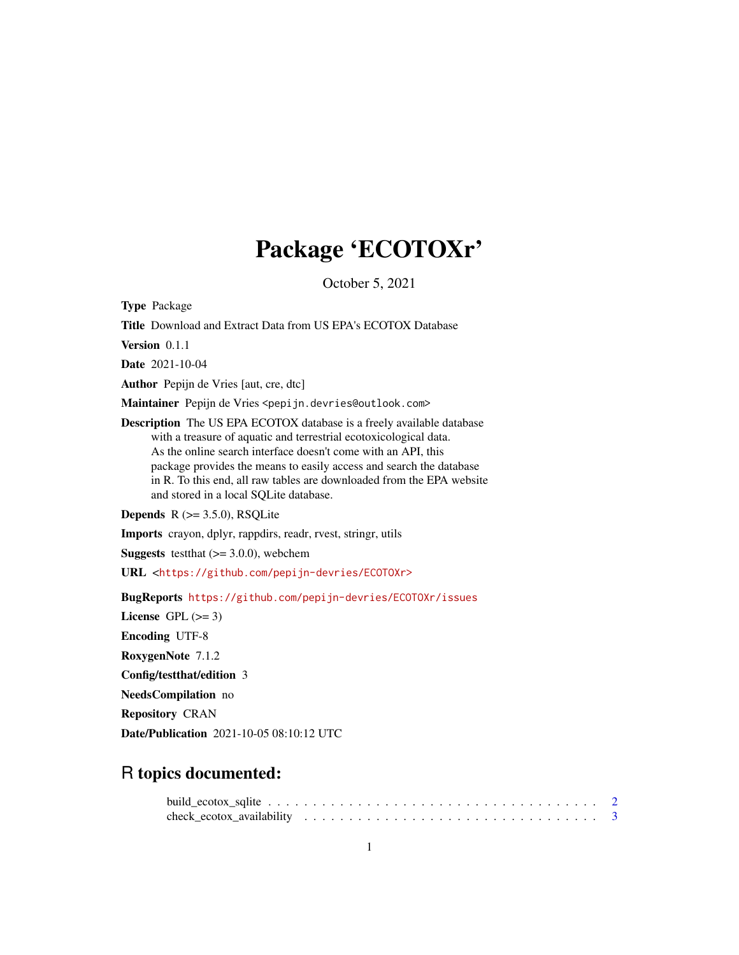## Package 'ECOTOXr'

October 5, 2021

<span id="page-0-0"></span>Type Package

Title Download and Extract Data from US EPA's ECOTOX Database

Version 0.1.1

Date 2021-10-04

Author Pepijn de Vries [aut, cre, dtc]

Maintainer Pepijn de Vries <pepijn.devries@outlook.com>

Description The US EPA ECOTOX database is a freely available database with a treasure of aquatic and terrestrial ecotoxicological data. As the online search interface doesn't come with an API, this package provides the means to easily access and search the database in R. To this end, all raw tables are downloaded from the EPA website and stored in a local SQLite database.

**Depends**  $R$  ( $>= 3.5.0$ ), RSQLite

Imports crayon, dplyr, rappdirs, readr, rvest, stringr, utils

**Suggests** test that  $(>= 3.0.0)$ , we be chem

URL <<https://github.com/pepijn-devries/ECOTOXr>>

BugReports <https://github.com/pepijn-devries/ECOTOXr/issues>

License GPL  $(>= 3)$ 

Encoding UTF-8

RoxygenNote 7.1.2

Config/testthat/edition 3

NeedsCompilation no

Repository CRAN

Date/Publication 2021-10-05 08:10:12 UTC

### R topics documented: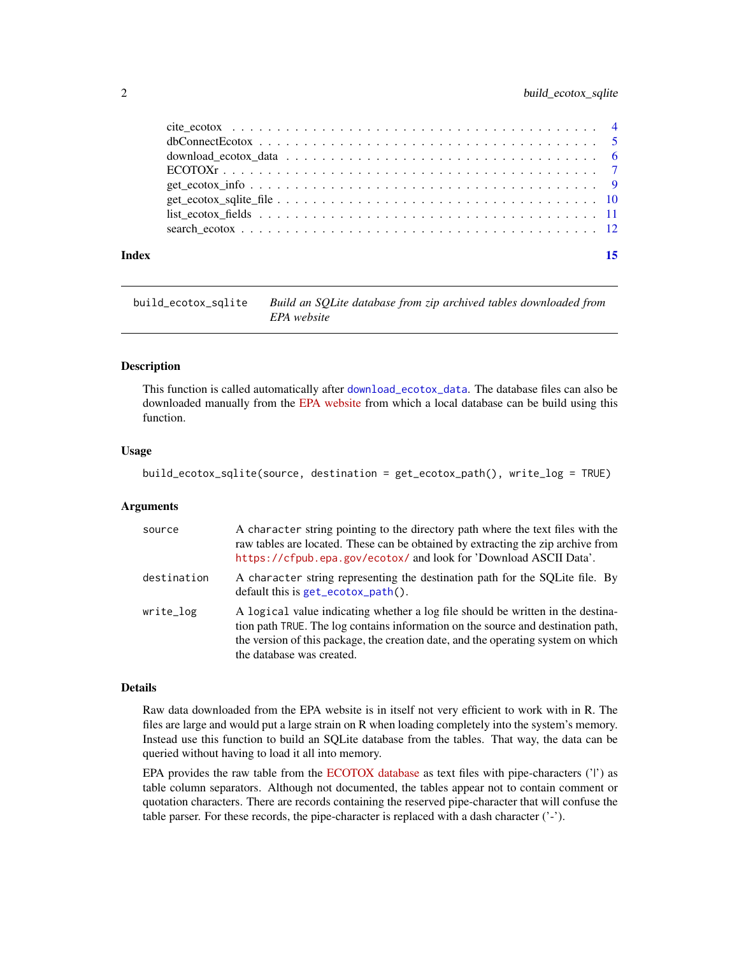<span id="page-1-0"></span>

#### **Index** [15](#page-14-0)

<span id="page-1-1"></span>build\_ecotox\_sqlite *Build an SQLite database from zip archived tables downloaded from EPA website*

#### Description

This function is called automatically after [download\\_ecotox\\_data](#page-5-1). The database files can also be downloaded manually from the [EPA website](https://cfpub.epa.gov/ecotox/) from which a local database can be build using this function.

#### Usage

```
build_ecotox_sqlite(source, destination = get_ecotox_path(), write_log = TRUE)
```
#### **Arguments**

| source      | A character string pointing to the directory path where the text files with the<br>raw tables are located. These can be obtained by extracting the zip archive from<br>https://cfpub.epa.gov/ecotox/ and look for 'Download ASCII Data'.                                              |
|-------------|---------------------------------------------------------------------------------------------------------------------------------------------------------------------------------------------------------------------------------------------------------------------------------------|
| destination | A character string representing the destination path for the SQLite file. By<br>$default this is get_ecotox.path()$ .                                                                                                                                                                 |
| write_log   | A logical value indicating whether a log file should be written in the destina-<br>tion path TRUE. The log contains information on the source and destination path,<br>the version of this package, the creation date, and the operating system on which<br>the database was created. |

#### Details

Raw data downloaded from the EPA website is in itself not very efficient to work with in R. The files are large and would put a large strain on R when loading completely into the system's memory. Instead use this function to build an SQLite database from the tables. That way, the data can be queried without having to load it all into memory.

EPA provides the raw table from the [ECOTOX database](https://cfpub.epa.gov/ecotox/) as text files with pipe-characters  $('')$  as table column separators. Although not documented, the tables appear not to contain comment or quotation characters. There are records containing the reserved pipe-character that will confuse the table parser. For these records, the pipe-character is replaced with a dash character ('-').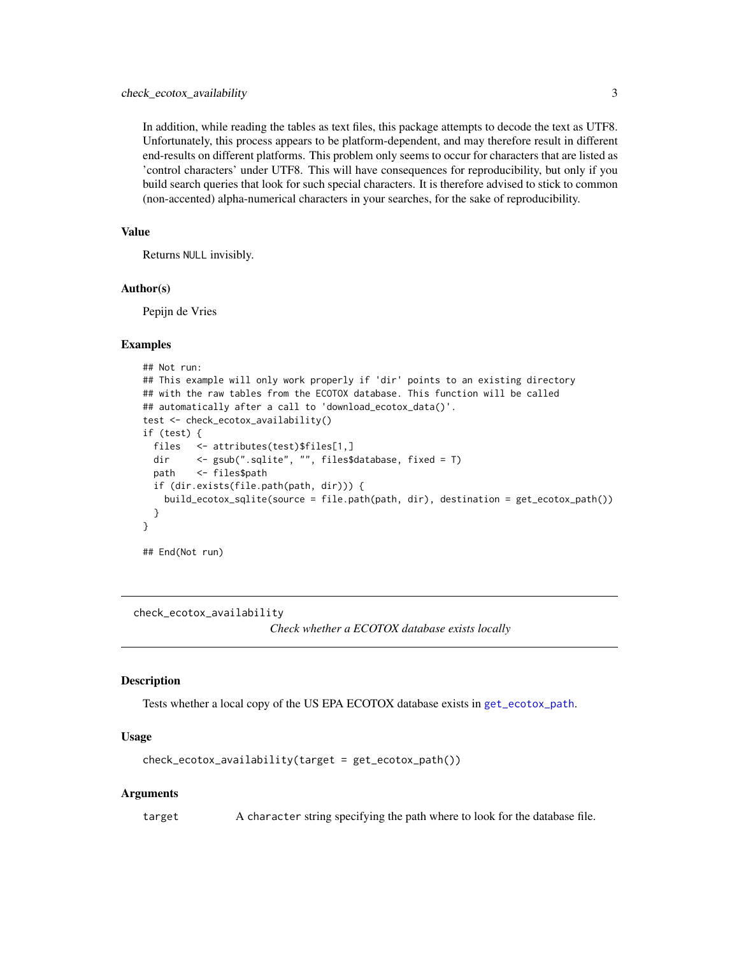<span id="page-2-0"></span>In addition, while reading the tables as text files, this package attempts to decode the text as UTF8. Unfortunately, this process appears to be platform-dependent, and may therefore result in different end-results on different platforms. This problem only seems to occur for characters that are listed as 'control characters' under UTF8. This will have consequences for reproducibility, but only if you build search queries that look for such special characters. It is therefore advised to stick to common (non-accented) alpha-numerical characters in your searches, for the sake of reproducibility.

#### Value

Returns NULL invisibly.

#### Author(s)

Pepijn de Vries

#### Examples

```
## Not run:
## This example will only work properly if 'dir' points to an existing directory
## with the raw tables from the ECOTOX database. This function will be called
## automatically after a call to 'download_ecotox_data()'.
test <- check_ecotox_availability()
if (test) {
 files <- attributes(test)$files[1,]
 dir <- gsub(".sqlite", "", files$database, fixed = T)
 path <- files$path
 if (dir.exists(file.path(path, dir))) {
   build_ecotox_sqlite(source = file.path(path, dir), destination = get_ecotox_path())
 }
}
```
## End(Not run)

check\_ecotox\_availability

*Check whether a ECOTOX database exists locally*

#### **Description**

Tests whether a local copy of the US EPA ECOTOX database exists in [get\\_ecotox\\_path](#page-9-1).

#### Usage

check\_ecotox\_availability(target = get\_ecotox\_path())

#### Arguments

target A character string specifying the path where to look for the database file.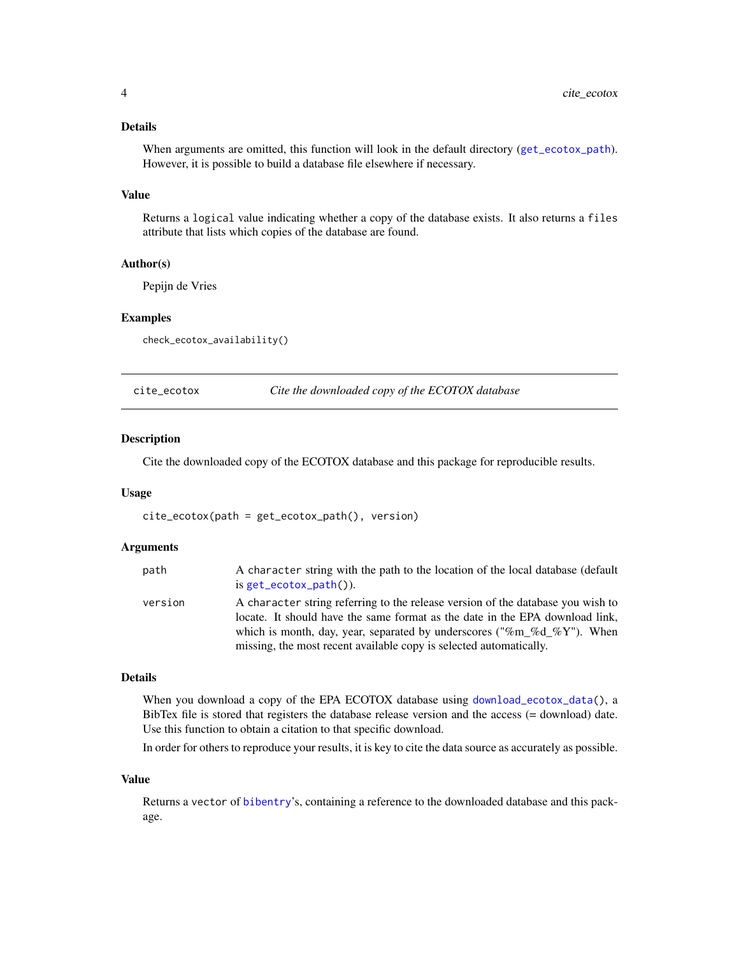#### <span id="page-3-0"></span>Details

When arguments are omitted, this function will look in the default directory ([get\\_ecotox\\_path](#page-9-1)). However, it is possible to build a database file elsewhere if necessary.

#### Value

Returns a logical value indicating whether a copy of the database exists. It also returns a files attribute that lists which copies of the database are found.

#### Author(s)

Pepijn de Vries

#### Examples

check\_ecotox\_availability()

<span id="page-3-1"></span>

| cite_ecotox |  |
|-------------|--|
|             |  |

Cite the downloaded copy of the ECOTOX database

#### **Description**

Cite the downloaded copy of the ECOTOX database and this package for reproducible results.

#### Usage

cite\_ecotox(path = get\_ecotox\_path(), version)

#### Arguments

| path    | A character string with the path to the location of the local database (default<br>is $get\_ecotox\_path()$ .                                                                                                                             |
|---------|-------------------------------------------------------------------------------------------------------------------------------------------------------------------------------------------------------------------------------------------|
| version | A character string referring to the release version of the database you wish to<br>locate. It should have the same format as the date in the EPA download link,<br>which is month, day, year, separated by underscores ("%m %d %Y"). When |
|         | missing, the most recent available copy is selected automatically.                                                                                                                                                                        |

#### Details

When you download a copy of the EPA ECOTOX database using [download\\_ecotox\\_data\(](#page-5-1)), a BibTex file is stored that registers the database release version and the access (= download) date. Use this function to obtain a citation to that specific download.

In order for others to reproduce your results, it is key to cite the data source as accurately as possible.

#### Value

Returns a vector of [bibentry](#page-0-0)'s, containing a reference to the downloaded database and this package.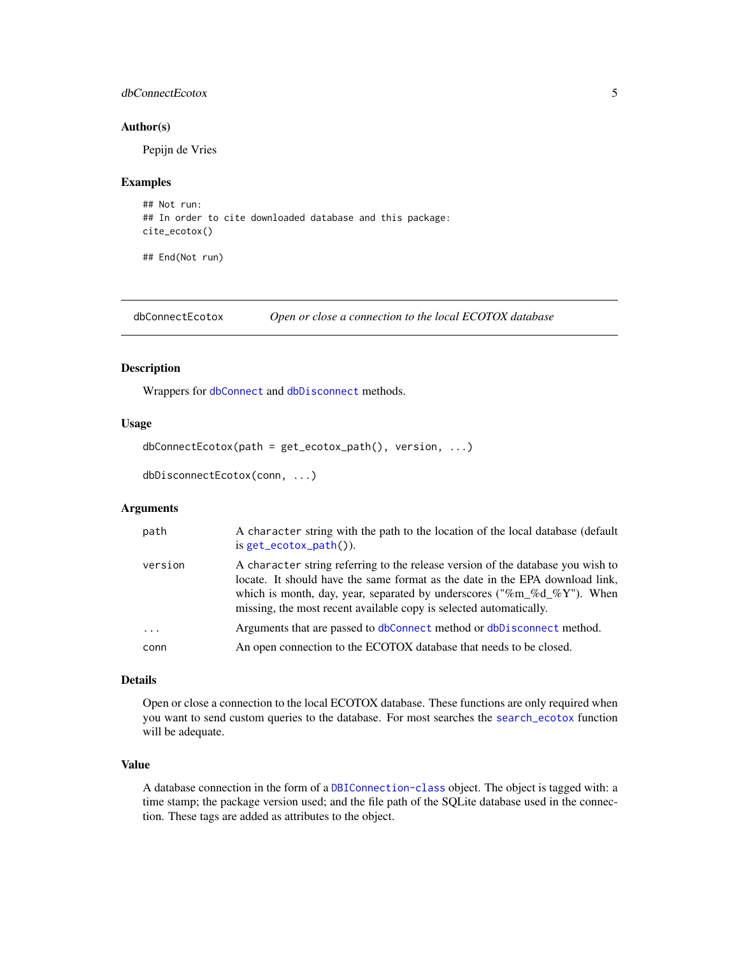#### <span id="page-4-0"></span>dbConnectEcotox 5

#### Author(s)

Pepijn de Vries

#### Examples

```
## Not run:
## In order to cite downloaded database and this package:
cite_ecotox()
```
## End(Not run)

<span id="page-4-1"></span>dbConnectEcotox *Open or close a connection to the local ECOTOX database*

#### Description

Wrappers for [dbConnect](#page-0-0) and [dbDisconnect](#page-0-0) methods.

#### Usage

```
dbConnectEcotox(path = get_ecotox_path(), version, ...)
```

```
dbDisconnectEcotox(conn, ...)
```
#### **Arguments**

| path     | A character string with the path to the location of the local database (default<br>is $get\_ecotox\_path()$ .                                                                                                                                                                                                   |
|----------|-----------------------------------------------------------------------------------------------------------------------------------------------------------------------------------------------------------------------------------------------------------------------------------------------------------------|
| version  | A character string referring to the release version of the database you wish to<br>locate. It should have the same format as the date in the EPA download link,<br>which is month, day, year, separated by underscores ("%m_%d_%Y"). When<br>missing, the most recent available copy is selected automatically. |
| $\cdots$ | Arguments that are passed to dbConnect method or dbDisconnect method.                                                                                                                                                                                                                                           |
| conn     | An open connection to the ECOTOX database that needs to be closed.                                                                                                                                                                                                                                              |
|          |                                                                                                                                                                                                                                                                                                                 |

#### Details

Open or close a connection to the local ECOTOX database. These functions are only required when you want to send custom queries to the database. For most searches the [search\\_ecotox](#page-11-1) function will be adequate.

#### Value

A database connection in the form of a [DBIConnection-class](#page-0-0) object. The object is tagged with: a time stamp; the package version used; and the file path of the SQLite database used in the connection. These tags are added as attributes to the object.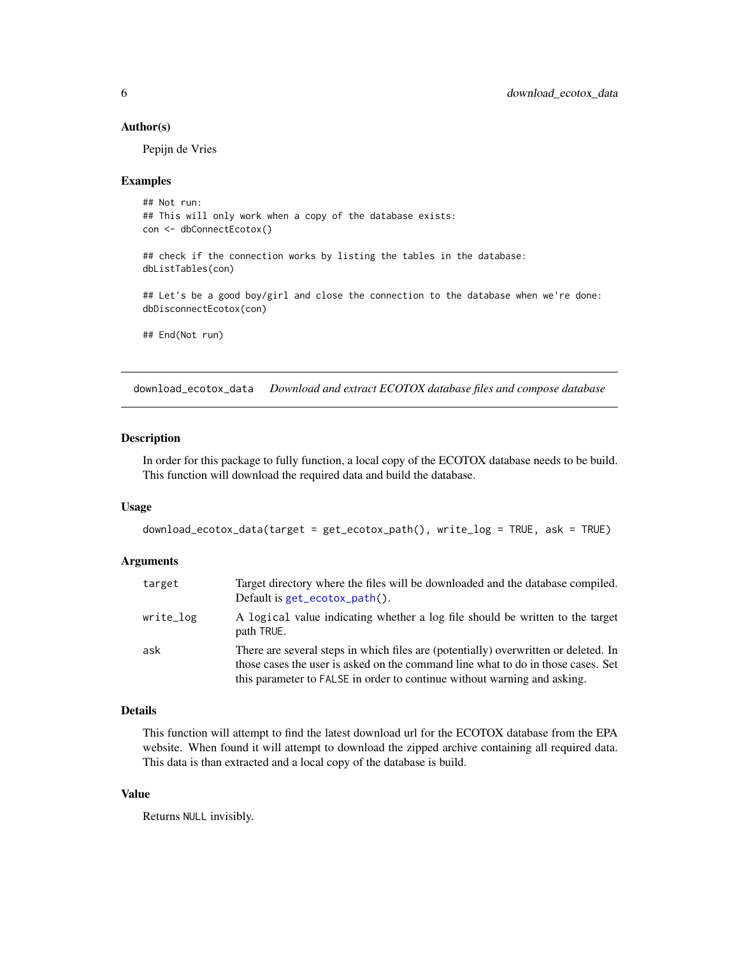#### <span id="page-5-0"></span>Author(s)

Pepijn de Vries

#### Examples

```
## Not run:
## This will only work when a copy of the database exists:
con <- dbConnectEcotox()
## check if the connection works by listing the tables in the database:
dbListTables(con)
## Let's be a good boy/girl and close the connection to the database when we're done:
dbDisconnectEcotox(con)
## End(Not run)
```
<span id="page-5-1"></span>download\_ecotox\_data *Download and extract ECOTOX database files and compose database*

#### Description

In order for this package to fully function, a local copy of the ECOTOX database needs to be build. This function will download the required data and build the database.

#### Usage

```
download_ecotox_data(target = get_ecotox_path(), write_log = TRUE, ask = TRUE)
```
#### Arguments

| target    | Target directory where the files will be downloaded and the database compiled.<br>Default is $get\_ecotox\_path()$ .                                                                                                                                |
|-----------|-----------------------------------------------------------------------------------------------------------------------------------------------------------------------------------------------------------------------------------------------------|
| write_log | A logical value indicating whether a log file should be written to the target<br>path TRUE.                                                                                                                                                         |
| ask       | There are several steps in which files are (potentially) overwritten or deleted. In<br>those cases the user is asked on the command line what to do in those cases. Set<br>this parameter to FALSE in order to continue without warning and asking. |

#### Details

This function will attempt to find the latest download url for the ECOTOX database from the EPA website. When found it will attempt to download the zipped archive containing all required data. This data is than extracted and a local copy of the database is build.

#### Value

Returns NULL invisibly.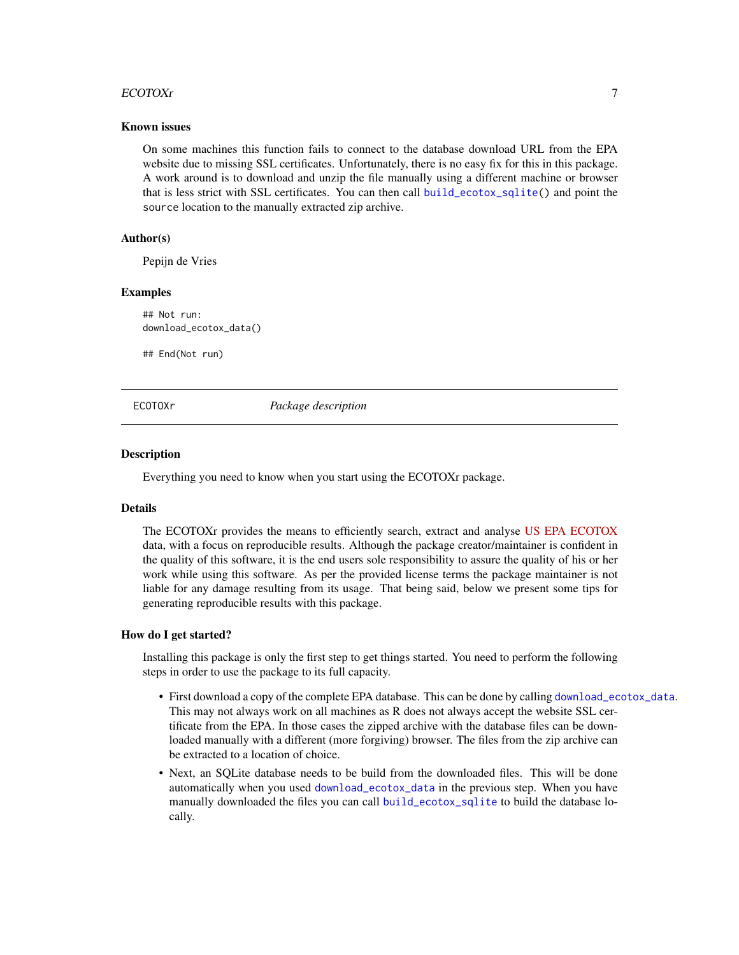#### <span id="page-6-0"></span>ECOTOXr 7

#### Known issues

On some machines this function fails to connect to the database download URL from the EPA website due to missing SSL certificates. Unfortunately, there is no easy fix for this in this package. A work around is to download and unzip the file manually using a different machine or browser that is less strict with SSL certificates. You can then call [build\\_ecotox\\_sqlite\(](#page-1-1)) and point the source location to the manually extracted zip archive.

#### Author(s)

Pepijn de Vries

#### Examples

## Not run: download\_ecotox\_data()

## End(Not run)

#### ECOTOXr *Package description*

#### **Description**

Everything you need to know when you start using the ECOTOXr package.

#### Details

The ECOTOXr provides the means to efficiently search, extract and analyse [US EPA](https://www.epa.gov/) [ECOTOX](https://cfpub.epa.gov/ecotox/) data, with a focus on reproducible results. Although the package creator/maintainer is confident in the quality of this software, it is the end users sole responsibility to assure the quality of his or her work while using this software. As per the provided license terms the package maintainer is not liable for any damage resulting from its usage. That being said, below we present some tips for generating reproducible results with this package.

#### How do I get started?

Installing this package is only the first step to get things started. You need to perform the following steps in order to use the package to its full capacity.

- First download a copy of the complete EPA database. This can be done by calling [download\\_ecotox\\_data](#page-5-1). This may not always work on all machines as R does not always accept the website SSL certificate from the EPA. In those cases the zipped archive with the database files can be downloaded manually with a different (more forgiving) browser. The files from the zip archive can be extracted to a location of choice.
- Next, an SQLite database needs to be build from the downloaded files. This will be done automatically when you used [download\\_ecotox\\_data](#page-5-1) in the previous step. When you have manually downloaded the files you can call [build\\_ecotox\\_sqlite](#page-1-1) to build the database locally.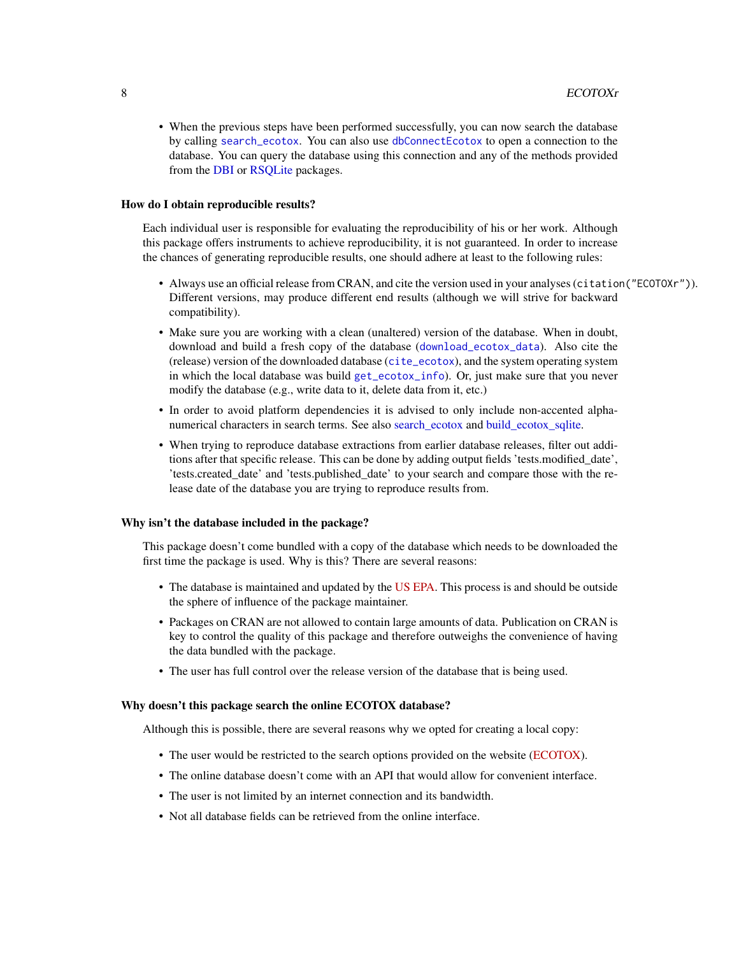<span id="page-7-0"></span>• When the previous steps have been performed successfully, you can now search the database by calling [search\\_ecotox](#page-11-1). You can also use [dbConnectEcotox](#page-4-1) to open a connection to the database. You can query the database using this connection and any of the methods provided from the [DBI](#page-0-0) or [RSQLite](#page-0-0) packages.

#### How do I obtain reproducible results?

Each individual user is responsible for evaluating the reproducibility of his or her work. Although this package offers instruments to achieve reproducibility, it is not guaranteed. In order to increase the chances of generating reproducible results, one should adhere at least to the following rules:

- Always use an official release from CRAN, and cite the version used in your analyses (citation("ECOTOXr")). Different versions, may produce different end results (although we will strive for backward compatibility).
- Make sure you are working with a clean (unaltered) version of the database. When in doubt, download and build a fresh copy of the database ([download\\_ecotox\\_data](#page-5-1)). Also cite the (release) version of the downloaded database ([cite\\_ecotox](#page-3-1)), and the system operating system in which the local database was build [get\\_ecotox\\_info](#page-8-1)). Or, just make sure that you never modify the database (e.g., write data to it, delete data from it, etc.)
- In order to avoid platform dependencies it is advised to only include non-accented alphanumerical characters in search terms. See also [search\\_ecotox](#page-11-1) and [build\\_ecotox\\_sqlite.](#page-1-1)
- When trying to reproduce database extractions from earlier database releases, filter out additions after that specific release. This can be done by adding output fields 'tests.modified\_date', 'tests.created\_date' and 'tests.published\_date' to your search and compare those with the release date of the database you are trying to reproduce results from.

#### Why isn't the database included in the package?

This package doesn't come bundled with a copy of the database which needs to be downloaded the first time the package is used. Why is this? There are several reasons:

- The database is maintained and updated by the [US EPA.](https://www.epa.gov/) This process is and should be outside the sphere of influence of the package maintainer.
- Packages on CRAN are not allowed to contain large amounts of data. Publication on CRAN is key to control the quality of this package and therefore outweighs the convenience of having the data bundled with the package.
- The user has full control over the release version of the database that is being used.

#### Why doesn't this package search the online ECOTOX database?

Although this is possible, there are several reasons why we opted for creating a local copy:

- The user would be restricted to the search options provided on the website [\(ECOTOX\)](https://cfpub.epa.gov/ecotox/).
- The online database doesn't come with an API that would allow for convenient interface.
- The user is not limited by an internet connection and its bandwidth.
- Not all database fields can be retrieved from the online interface.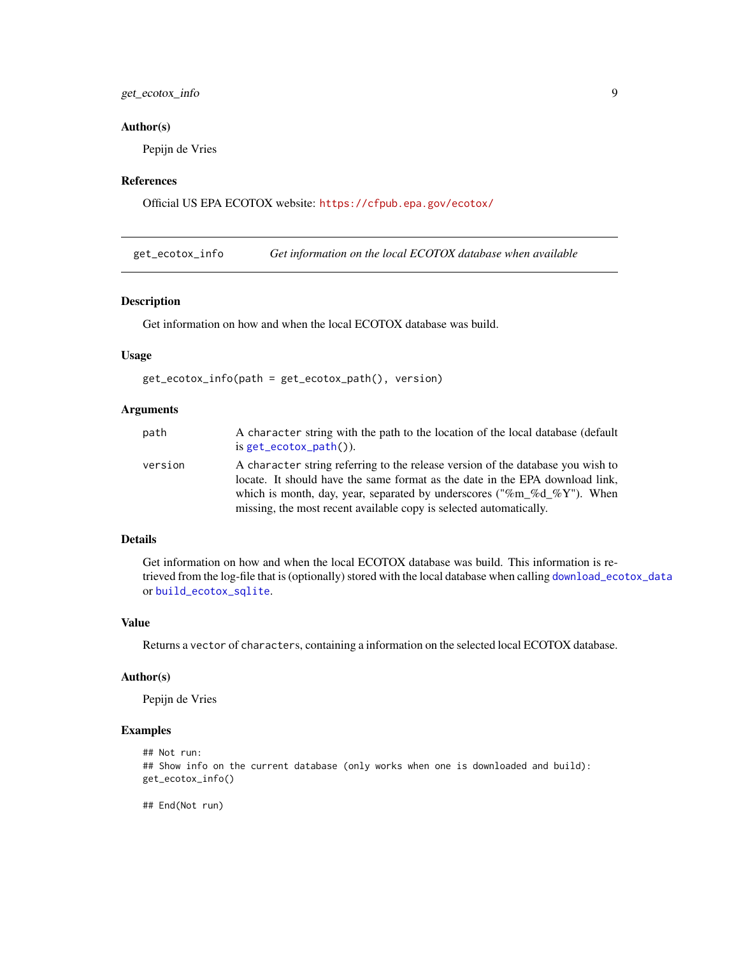#### <span id="page-8-0"></span>get\_ecotox\_info 9

#### Author(s)

Pepijn de Vries

#### References

Official US EPA ECOTOX website: <https://cfpub.epa.gov/ecotox/>

<span id="page-8-1"></span>get\_ecotox\_info *Get information on the local ECOTOX database when available*

#### Description

Get information on how and when the local ECOTOX database was build.

#### Usage

```
get_ecotox_info(path = get_ecotox_path(), version)
```
#### Arguments

| path    | A character string with the path to the location of the local database (default<br>is $get\_ecotox\_path()$ .                                                                                                                                                                                                   |
|---------|-----------------------------------------------------------------------------------------------------------------------------------------------------------------------------------------------------------------------------------------------------------------------------------------------------------------|
| version | A character string referring to the release version of the database you wish to<br>locate. It should have the same format as the date in the EPA download link,<br>which is month, day, year, separated by underscores ("%m %d %Y"). When<br>missing, the most recent available copy is selected automatically. |

#### Details

Get information on how and when the local ECOTOX database was build. This information is retrieved from the log-file that is (optionally) stored with the local database when calling [download\\_ecotox\\_data](#page-5-1) or [build\\_ecotox\\_sqlite](#page-1-1).

#### Value

Returns a vector of characters, containing a information on the selected local ECOTOX database.

#### Author(s)

Pepijn de Vries

#### Examples

```
## Not run:
## Show info on the current database (only works when one is downloaded and build):
get_ecotox_info()
```
## End(Not run)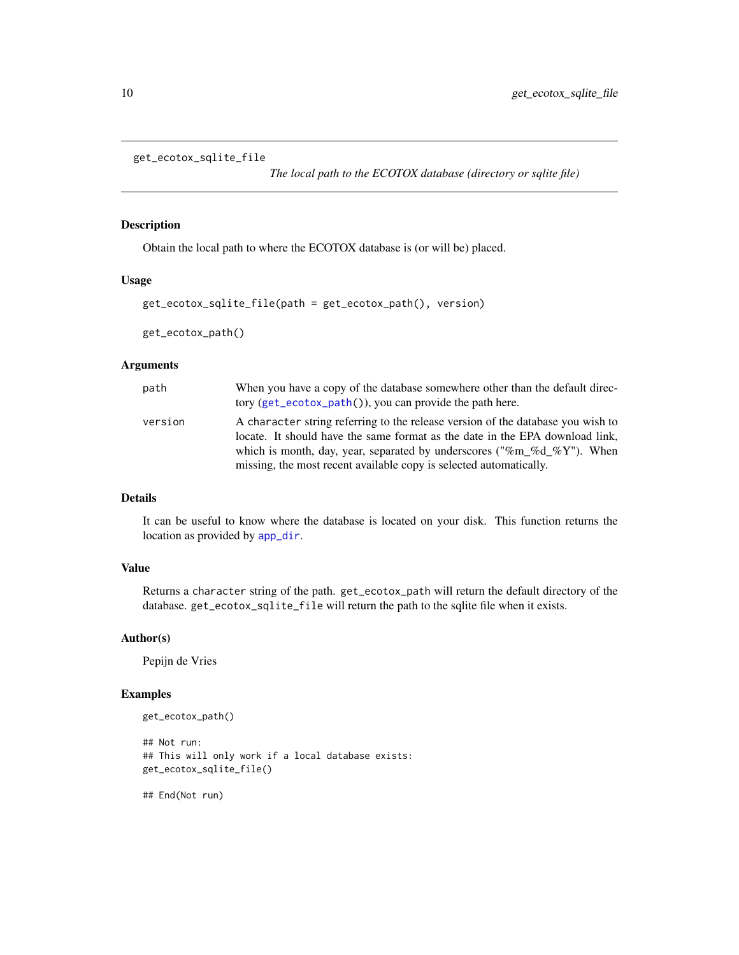```
get_ecotox_sqlite_file
```
*The local path to the ECOTOX database (directory or sqlite file)*

#### <span id="page-9-1"></span>Description

Obtain the local path to where the ECOTOX database is (or will be) placed.

#### Usage

```
get_ecotox_sqlite_file(path = get_ecotox_path(), version)
```

```
get_ecotox_path()
```
#### Arguments

| path    | When you have a copy of the database somewhere other than the default direc-<br>tory $(get\_ecotox\_path())$ , you can provide the path here.                                                                                                                                                                   |
|---------|-----------------------------------------------------------------------------------------------------------------------------------------------------------------------------------------------------------------------------------------------------------------------------------------------------------------|
| version | A character string referring to the release version of the database you wish to<br>locate. It should have the same format as the date in the EPA download link,<br>which is month, day, year, separated by underscores ("%m %d %Y"). When<br>missing, the most recent available copy is selected automatically. |

#### Details

It can be useful to know where the database is located on your disk. This function returns the location as provided by [app\\_dir](#page-0-0).

#### Value

Returns a character string of the path. get\_ecotox\_path will return the default directory of the database. get\_ecotox\_sqlite\_file will return the path to the sqlite file when it exists.

#### Author(s)

Pepijn de Vries

#### Examples

```
get_ecotox_path()
## Not run:
## This will only work if a local database exists:
get_ecotox_sqlite_file()
```
## End(Not run)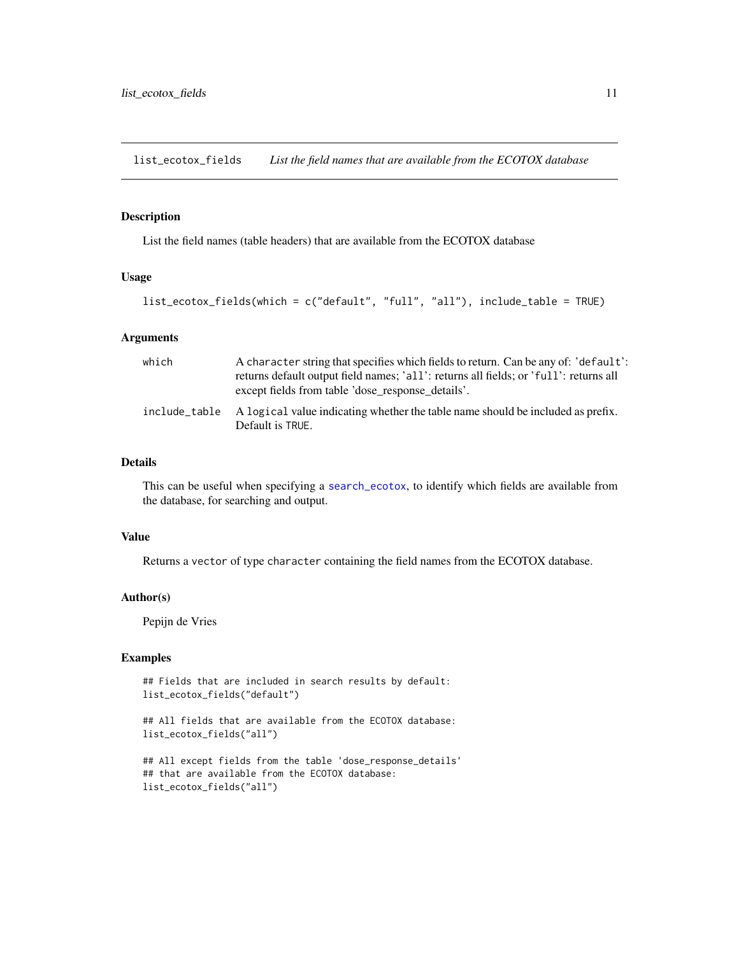<span id="page-10-1"></span><span id="page-10-0"></span>list\_ecotox\_fields *List the field names that are available from the ECOTOX database*

#### Description

List the field names (table headers) that are available from the ECOTOX database

#### Usage

```
list_ecotox_fields(which = c("default", "full", "all"), include_table = TRUE)
```
#### Arguments

| which | A character string that specifies which fields to return. Can be any of: 'default':<br>returns default output field names; 'all': returns all fields; or 'full': returns all<br>except fields from table 'dose response details'. |
|-------|-----------------------------------------------------------------------------------------------------------------------------------------------------------------------------------------------------------------------------------|
|       | include table A logical value indicating whether the table name should be included as prefix.<br>Default is TRUE.                                                                                                                 |

#### Details

This can be useful when specifying a [search\\_ecotox](#page-11-1), to identify which fields are available from the database, for searching and output.

#### Value

Returns a vector of type character containing the field names from the ECOTOX database.

#### Author(s)

Pepijn de Vries

#### Examples

```
## Fields that are included in search results by default:
list_ecotox_fields("default")
```

```
## All fields that are available from the ECOTOX database:
list_ecotox_fields("all")
```

```
## All except fields from the table 'dose_response_details'
## that are available from the ECOTOX database:
list_ecotox_fields("all")
```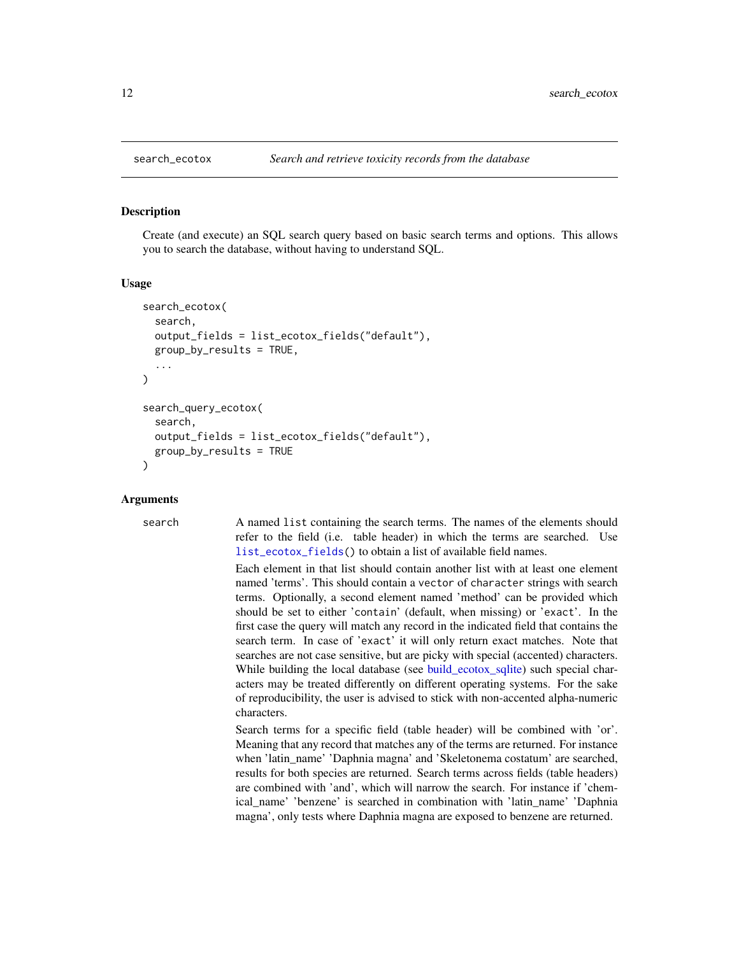<span id="page-11-1"></span><span id="page-11-0"></span>

#### Description

Create (and execute) an SQL search query based on basic search terms and options. This allows you to search the database, without having to understand SQL.

#### Usage

```
search_ecotox(
  search,
  output_fields = list_ecotox_fields("default"),
  group_by_results = TRUE,
  ...
)
search_query_ecotox(
  search,
  output_fields = list_ecotox_fields("default"),
  group_by_results = TRUE
)
```
#### Arguments

search A named list containing the search terms. The names of the elements should refer to the field (i.e. table header) in which the terms are searched. Use list ecotox fields() to obtain a list of available field names.

> Each element in that list should contain another list with at least one element named 'terms'. This should contain a vector of character strings with search terms. Optionally, a second element named 'method' can be provided which should be set to either 'contain' (default, when missing) or 'exact'. In the first case the query will match any record in the indicated field that contains the search term. In case of 'exact' it will only return exact matches. Note that searches are not case sensitive, but are picky with special (accented) characters. While building the local database (see [build\\_ecotox\\_sqlite\)](#page-1-1) such special characters may be treated differently on different operating systems. For the sake of reproducibility, the user is advised to stick with non-accented alpha-numeric characters.

> Search terms for a specific field (table header) will be combined with 'or'. Meaning that any record that matches any of the terms are returned. For instance when 'latin\_name' 'Daphnia magna' and 'Skeletonema costatum' are searched, results for both species are returned. Search terms across fields (table headers) are combined with 'and', which will narrow the search. For instance if 'chemical\_name' 'benzene' is searched in combination with 'latin\_name' 'Daphnia magna', only tests where Daphnia magna are exposed to benzene are returned.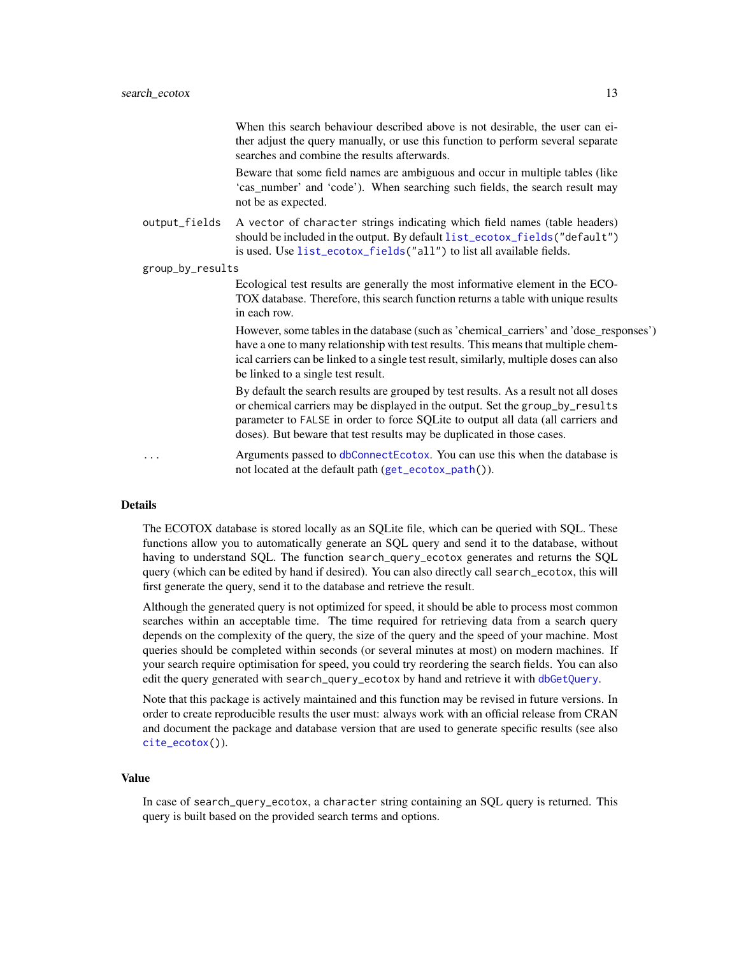<span id="page-12-0"></span>When this search behaviour described above is not desirable, the user can either adjust the query manually, or use this function to perform several separate searches and combine the results afterwards.

Beware that some field names are ambiguous and occur in multiple tables (like 'cas\_number' and 'code'). When searching such fields, the search result may not be as expected.

output\_fields A vector of character strings indicating which field names (table headers) should be included in the output. By default [list\\_ecotox\\_fields\(](#page-10-1)"default") is used. Use [list\\_ecotox\\_fields\(](#page-10-1)"all") to list all available fields.

group\_by\_results

Ecological test results are generally the most informative element in the ECO-TOX database. Therefore, this search function returns a table with unique results in each row.

However, some tables in the database (such as 'chemical\_carriers' and 'dose\_responses') have a one to many relationship with test results. This means that multiple chemical carriers can be linked to a single test result, similarly, multiple doses can also be linked to a single test result.

By default the search results are grouped by test results. As a result not all doses or chemical carriers may be displayed in the output. Set the group\_by\_results parameter to FALSE in order to force SQLite to output all data (all carriers and doses). But beware that test results may be duplicated in those cases.

... Arguments passed to [dbConnectEcotox](#page-4-1). You can use this when the database is not located at the default path ([get\\_ecotox\\_path\(](#page-9-1))).

#### Details

The ECOTOX database is stored locally as an SQLite file, which can be queried with SQL. These functions allow you to automatically generate an SQL query and send it to the database, without having to understand SQL. The function search\_query\_ecotox generates and returns the SQL query (which can be edited by hand if desired). You can also directly call search\_ecotox, this will first generate the query, send it to the database and retrieve the result.

Although the generated query is not optimized for speed, it should be able to process most common searches within an acceptable time. The time required for retrieving data from a search query depends on the complexity of the query, the size of the query and the speed of your machine. Most queries should be completed within seconds (or several minutes at most) on modern machines. If your search require optimisation for speed, you could try reordering the search fields. You can also edit the query generated with search\_query\_ecotox by hand and retrieve it with [dbGetQuery](#page-0-0).

Note that this package is actively maintained and this function may be revised in future versions. In order to create reproducible results the user must: always work with an official release from CRAN and document the package and database version that are used to generate specific results (see also [cite\\_ecotox\(](#page-3-1))).

#### Value

In case of search\_query\_ecotox, a character string containing an SQL query is returned. This query is built based on the provided search terms and options.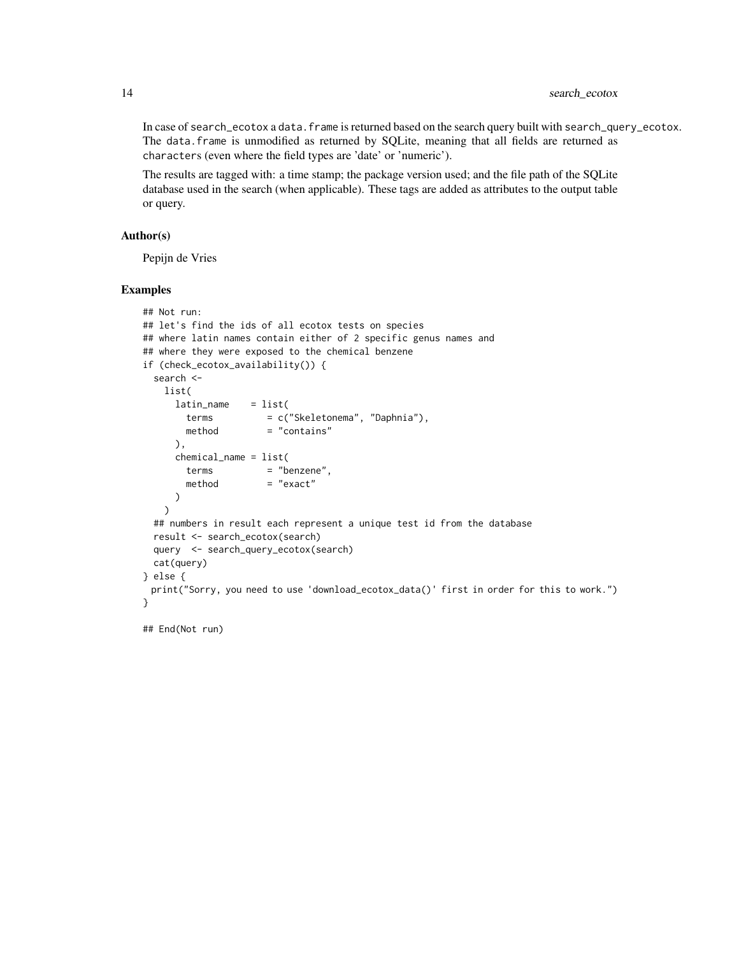In case of search\_ecotox a data. frame is returned based on the search query built with search\_query\_ecotox. The data.frame is unmodified as returned by SQLite, meaning that all fields are returned as characters (even where the field types are 'date' or 'numeric').

The results are tagged with: a time stamp; the package version used; and the file path of the SQLite database used in the search (when applicable). These tags are added as attributes to the output table or query.

#### Author(s)

Pepijn de Vries

#### Examples

```
## Not run:
## let's find the ids of all ecotox tests on species
## where latin names contain either of 2 specific genus names and
## where they were exposed to the chemical benzene
if (check_ecotox_availability()) {
 search <-
   list(
     latin_name = list(terms = c("Skeletonema", "Daphnia"),
       method = "contains"
     ),
     chemical_name = list(
       terms = "benzene",
       method = "exact"
     )
   )
 ## numbers in result each represent a unique test id from the database
 result <- search_ecotox(search)
 query <- search_query_ecotox(search)
 cat(query)
} else {
 print("Sorry, you need to use 'download_ecotox_data()' first in order for this to work.")
}
```
## End(Not run)